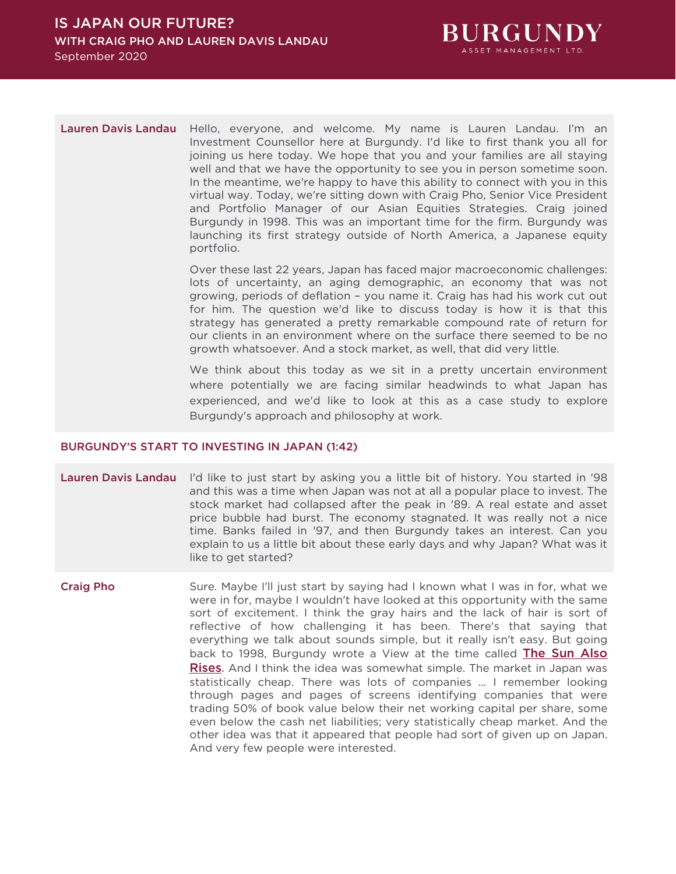

Lauren Davis Landau Hello, everyone, and welcome. My name is Lauren Landau. I'm an Investment Counsellor here at Burgundy. I'd like to first thank you all for joining us here today. We hope that you and your families are all staying well and that we have the opportunity to see you in person sometime soon. In the meantime, we're happy to have this ability to connect with you in this virtual way. Today, we're sitting down with Craig Pho, Senior Vice President and Portfolio Manager of our Asian Equities Strategies. Craig joined Burgundy in 1998. This was an important time for the firm. Burgundy was launching its first strategy outside of North America, a Japanese equity portfolio.

> Over these last 22 years, Japan has faced major macroeconomic challenges: lots of uncertainty, an aging demographic, an economy that was not growing, periods of deflation – you name it. Craig has had his work cut out for him. The question we'd like to discuss today is how it is that this strategy has generated a pretty remarkable compound rate of return for our clients in an environment where on the surface there seemed to be no growth whatsoever. And a stock market, as well, that did very little.

> We think about this today as we sit in a pretty uncertain environment where potentially we are facing similar headwinds to what Japan has experienced, and we'd like to look at this as a case study to explore Burgundy's approach and philosophy at work.

## BURGUNDY'S START TO INVESTING IN JAPAN (1:42)

Lauren Davis Landau I'd like to just start by asking you a little bit of history. You started in '98 and this was a time when Japan was not at all a popular place to invest. The stock market had collapsed after the peak in '89. A real estate and asset price bubble had burst. The economy stagnated. It was really not a nice time. Banks failed in '97, and then Burgundy takes an interest. Can you explain to us a little bit about these early days and why Japan? What was it like to get started?

Craig Pho Sure. Maybe I'll just start by saying had I known what I was in for, what we were in for, maybe I wouldn't have looked at this opportunity with the same sort of excitement. I think the gray hairs and the lack of hair is sort of reflective of how challenging it has been. There's that saying that everything we talk about sounds simple, but it really isn't easy. But going back to 1998, Burgundy wrote a View at the time called **The Sun Also** [Rises](https://www.burgundyasset.com/wp-content/uploads/The-Sun-Also-Rises.pdf). And I think the idea was somewhat simple. The market in Japan was statistically cheap. There was lots of companies ... I remember looking through pages and pages of screens identifying companies that were trading 50% of book value below their net working capital per share, some even below the cash net liabilities; very statistically cheap market. And the other idea was that it appeared that people had sort of given up on Japan. And very few people were interested.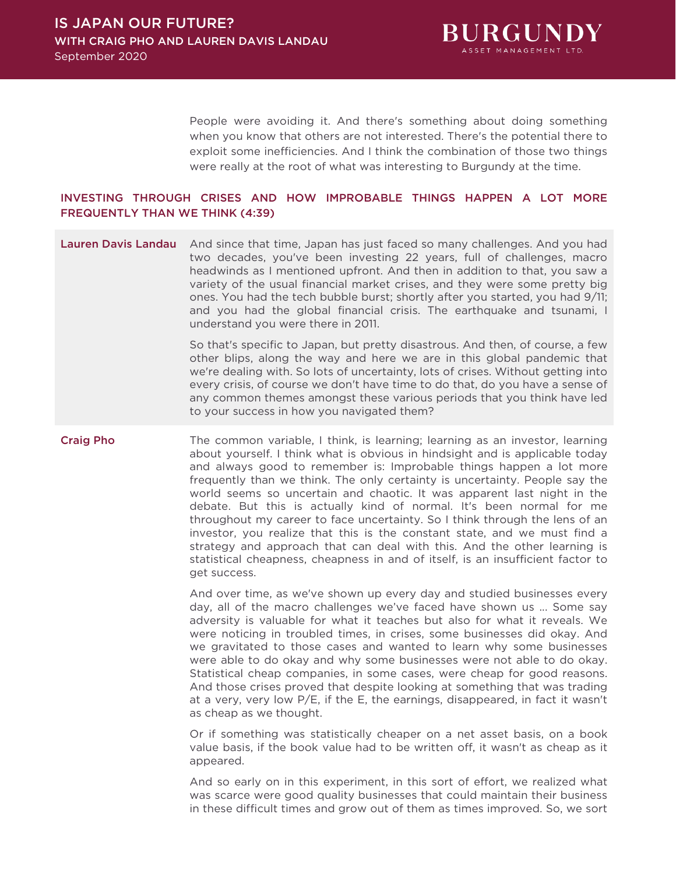

People were avoiding it. And there's something about doing something when you know that others are not interested. There's the potential there to exploit some inefficiencies. And I think the combination of those two things were really at the root of what was interesting to Burgundy at the time.

# INVESTING THROUGH CRISES AND HOW IMPROBABLE THINGS HAPPEN A LOT MORE FREQUENTLY THAN WE THINK (4:39)

Lauren Davis Landau And since that time, Japan has just faced so many challenges. And you had two decades, you've been investing 22 years, full of challenges, macro headwinds as I mentioned upfront. And then in addition to that, you saw a variety of the usual financial market crises, and they were some pretty big ones. You had the tech bubble burst; shortly after you started, you had 9/11; and you had the global financial crisis. The earthquake and tsunami, I understand you were there in 2011.

> So that's specific to Japan, but pretty disastrous. And then, of course, a few other blips, along the way and here we are in this global pandemic that we're dealing with. So lots of uncertainty, lots of crises. Without getting into every crisis, of course we don't have time to do that, do you have a sense of any common themes amongst these various periods that you think have led to your success in how you navigated them?

Craig Pho The common variable, I think, is learning; learning as an investor, learning about yourself. I think what is obvious in hindsight and is applicable today and always good to remember is: Improbable things happen a lot more frequently than we think. The only certainty is uncertainty. People say the world seems so uncertain and chaotic. It was apparent last night in the debate. But this is actually kind of normal. It's been normal for me throughout my career to face uncertainty. So I think through the lens of an investor, you realize that this is the constant state, and we must find a strategy and approach that can deal with this. And the other learning is statistical cheapness, cheapness in and of itself, is an insufficient factor to get success.

> And over time, as we've shown up every day and studied businesses every day, all of the macro challenges we've faced have shown us ... Some say adversity is valuable for what it teaches but also for what it reveals. We were noticing in troubled times, in crises, some businesses did okay. And we gravitated to those cases and wanted to learn why some businesses were able to do okay and why some businesses were not able to do okay. Statistical cheap companies, in some cases, were cheap for good reasons. And those crises proved that despite looking at something that was trading at a very, very low P/E, if the E, the earnings, disappeared, in fact it wasn't as cheap as we thought.

> Or if something was statistically cheaper on a net asset basis, on a book value basis, if the book value had to be written off, it wasn't as cheap as it appeared.

> And so early on in this experiment, in this sort of effort, we realized what was scarce were good quality businesses that could maintain their business in these difficult times and grow out of them as times improved. So, we sort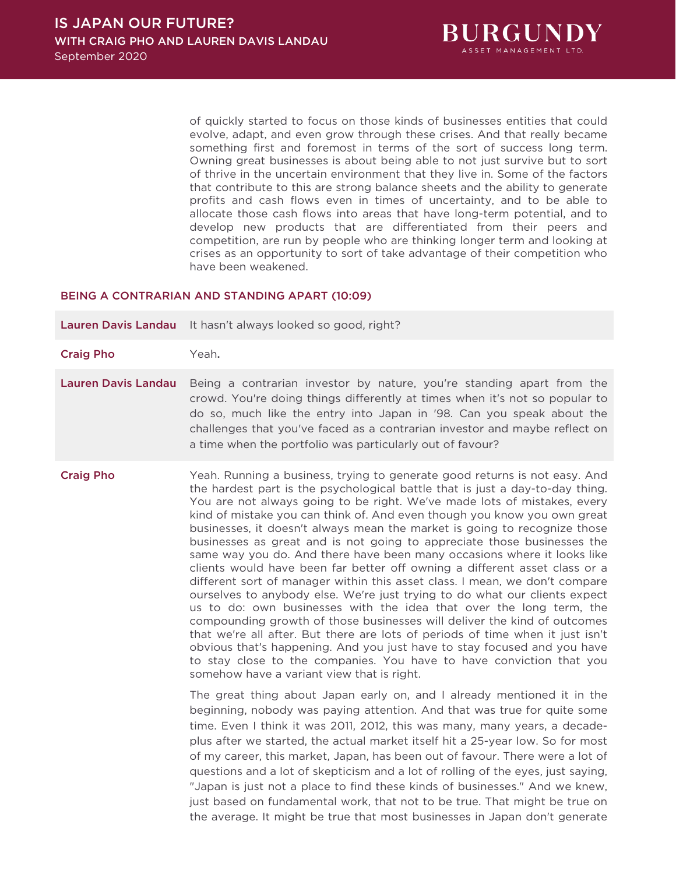

of quickly started to focus on those kinds of businesses entities that could evolve, adapt, and even grow through these crises. And that really became something first and foremost in terms of the sort of success long term. Owning great businesses is about being able to not just survive but to sort of thrive in the uncertain environment that they live in. Some of the factors that contribute to this are strong balance sheets and the ability to generate profits and cash flows even in times of uncertainty, and to be able to allocate those cash flows into areas that have long-term potential, and to develop new products that are differentiated from their peers and competition, are run by people who are thinking longer term and looking at crises as an opportunity to sort of take advantage of their competition who have been weakened.

### BEING A CONTRARIAN AND STANDING APART (10:09)

Lauren Davis Landau It hasn't always looked so good, right?

- Craig Pho Yeah.
- Lauren Davis Landau Being a contrarian investor by nature, you're standing apart from the crowd. You're doing things differently at times when it's not so popular to do so, much like the entry into Japan in '98. Can you speak about the challenges that you've faced as a contrarian investor and maybe reflect on a time when the portfolio was particularly out of favour?
- 

Craig Pho Yeah. Running a business, trying to generate good returns is not easy. And the hardest part is the psychological battle that is just a day-to-day thing. You are not always going to be right. We've made lots of mistakes, every kind of mistake you can think of. And even though you know you own great businesses, it doesn't always mean the market is going to recognize those businesses as great and is not going to appreciate those businesses the same way you do. And there have been many occasions where it looks like clients would have been far better off owning a different asset class or a different sort of manager within this asset class. I mean, we don't compare ourselves to anybody else. We're just trying to do what our clients expect us to do: own businesses with the idea that over the long term, the compounding growth of those businesses will deliver the kind of outcomes that we're all after. But there are lots of periods of time when it just isn't obvious that's happening. And you just have to stay focused and you have to stay close to the companies. You have to have conviction that you somehow have a variant view that is right.

> The great thing about Japan early on, and I already mentioned it in the beginning, nobody was paying attention. And that was true for quite some time. Even I think it was 2011, 2012, this was many, many years, a decadeplus after we started, the actual market itself hit a 25-year low. So for most of my career, this market, Japan, has been out of favour. There were a lot of questions and a lot of skepticism and a lot of rolling of the eyes, just saying, "Japan is just not a place to find these kinds of businesses." And we knew, just based on fundamental work, that not to be true. That might be true on the average. It might be true that most businesses in Japan don't generate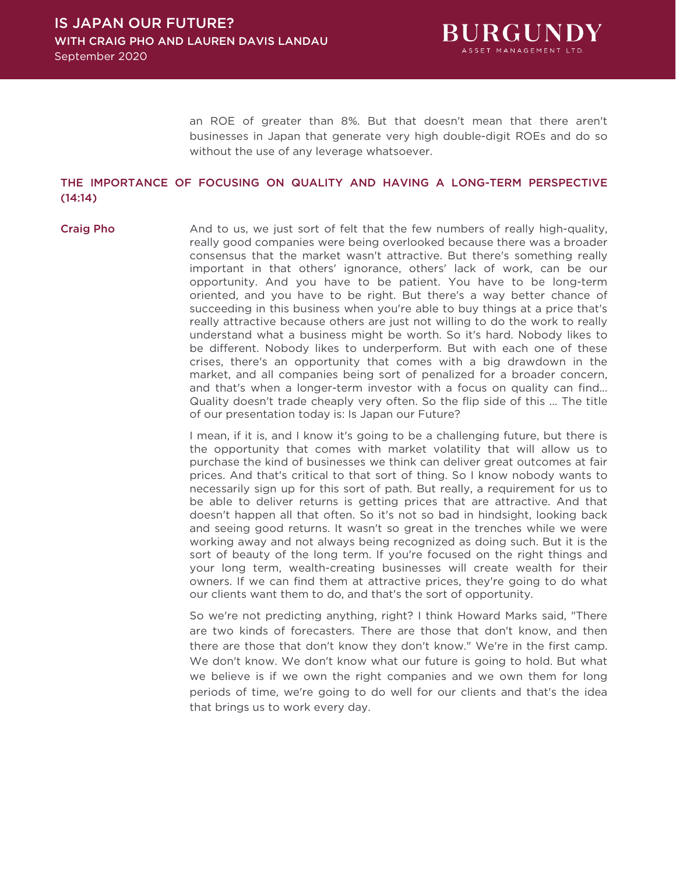

an ROE of greater than 8%. But that doesn't mean that there aren't businesses in Japan that generate very high double-digit ROEs and do so without the use of any leverage whatsoever.

## THE IMPORTANCE OF FOCUSING ON QUALITY AND HAVING A LONG-TERM PERSPECTIVE (14:14)

Craig Pho And to us, we just sort of felt that the few numbers of really high-quality, really good companies were being overlooked because there was a broader consensus that the market wasn't attractive. But there's something really important in that others' ignorance, others' lack of work, can be our opportunity. And you have to be patient. You have to be long-term oriented, and you have to be right. But there's a way better chance of succeeding in this business when you're able to buy things at a price that's really attractive because others are just not willing to do the work to really understand what a business might be worth. So it's hard. Nobody likes to be different. Nobody likes to underperform. But with each one of these crises, there's an opportunity that comes with a big drawdown in the market, and all companies being sort of penalized for a broader concern, and that's when a longer-term investor with a focus on quality can find... Quality doesn't trade cheaply very often. So the flip side of this ... The title of our presentation today is: Is Japan our Future?

> I mean, if it is, and I know it's going to be a challenging future, but there is the opportunity that comes with market volatility that will allow us to purchase the kind of businesses we think can deliver great outcomes at fair prices. And that's critical to that sort of thing. So I know nobody wants to necessarily sign up for this sort of path. But really, a requirement for us to be able to deliver returns is getting prices that are attractive. And that doesn't happen all that often. So it's not so bad in hindsight, looking back and seeing good returns. It wasn't so great in the trenches while we were working away and not always being recognized as doing such. But it is the sort of beauty of the long term. If you're focused on the right things and your long term, wealth-creating businesses will create wealth for their owners. If we can find them at attractive prices, they're going to do what our clients want them to do, and that's the sort of opportunity.

> So we're not predicting anything, right? I think Howard Marks said, "There are two kinds of forecasters. There are those that don't know, and then there are those that don't know they don't know." We're in the first camp. We don't know. We don't know what our future is going to hold. But what we believe is if we own the right companies and we own them for long periods of time, we're going to do well for our clients and that's the idea that brings us to work every day.